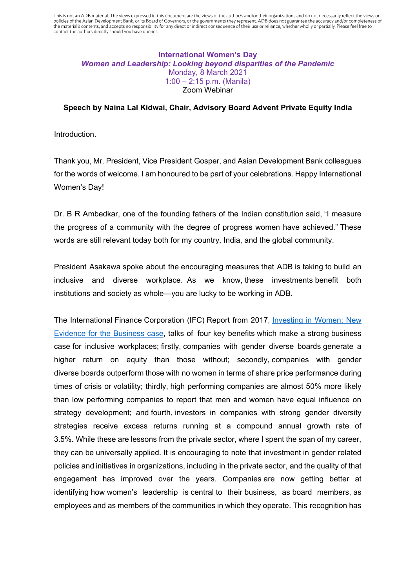This is not an ADB material. The views expressed in this document are the views of the author/s and/or their organizations and do not necessarily reflect the views or policies of the Asian Development Bank, or its Board of Governors, or the governments they represent. ADB does not guarantee the accuracy and/or completeness of the material's contents, and accepts no responsibility for any direct or indirect consequence of their use or reliance, whether wholly or partially. Please feel free to contact the authors directly should you have queries.

## **International Women's Day**  *Women and Leadership: Looking beyond disparities of the Pandemic*  Monday, 8 March 2021 1:00 – 2:15 p.m. (Manila) Zoom Webinar

## **Speech by Naina Lal Kidwai, Chair, Advisory Board Advent Private Equity India**

Introduction.

Thank you, Mr. President, Vice President Gosper, and Asian Development Bank colleagues for the words of welcome. I am honoured to be part of your celebrations. Happy International Women's Day!

Dr. B R Ambedkar, one of the founding fathers of the Indian constitution said, "I measure the progress of a community with the degree of progress women have achieved." These words are still relevant today both for my country, India, and the global community.

President Asakawa spoke about the encouraging measures that ADB is taking to build an inclusive and diverse workplace. As we know, these investments benefit both institutions and society as whole—you are lucky to be working in ADB.

The International Finance Corporation (IFC) Report from 2017, [Investing in Women: New](https://www.ifc.org/wps/wcm/connect/ac8fca18-6586-48cc-bfba-832b41d6af68/IFC+Invest+in+Women+October+2017.pdf?MOD=AJPERES&CVID=lYLVAcA)  [Evidence for the Business case,](https://www.ifc.org/wps/wcm/connect/ac8fca18-6586-48cc-bfba-832b41d6af68/IFC+Invest+in+Women+October+2017.pdf?MOD=AJPERES&CVID=lYLVAcA) talks of four key benefits which make a strong business case for inclusive workplaces; firstly, companies with gender diverse boards generate a higher return on equity than those without; secondly, companies with gender diverse boards outperform those with no women in terms of share price performance during times of crisis or volatility; thirdly, high performing companies are almost 50% more likely than low performing companies to report that men and women have equal influence on strategy development; and fourth, investors in companies with strong gender diversity strategies receive excess returns running at a compound annual growth rate of 3.5%. While these are lessons from the private sector, where I spent the span of my career, they can be universally applied. It is encouraging to note that investment in gender related policies and initiatives in organizations, including in the private sector, and the quality of that engagement has improved over the years. Companies are now getting better at identifying how women's leadership is central to their business, as board members, as employees and as members of the communities in which they operate. This recognition has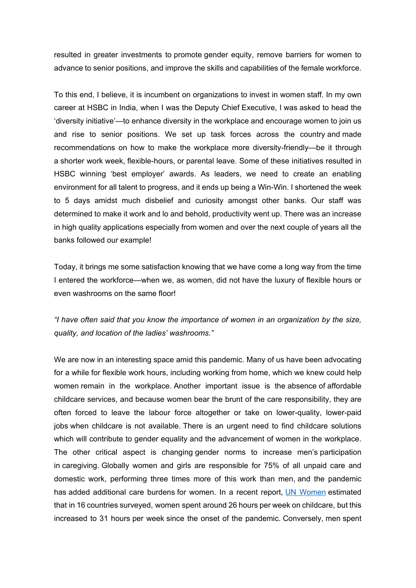resulted in greater investments to promote gender equity, remove barriers for women to advance to senior positions, and improve the skills and capabilities of the female workforce.

To this end, I believe, it is incumbent on organizations to invest in women staff. In my own career at HSBC in India, when I was the Deputy Chief Executive, I was asked to head the 'diversity initiative'—to enhance diversity in the workplace and encourage women to join us and rise to senior positions. We set up task forces across the country and made recommendations on how to make the workplace more diversity-friendly—be it through a shorter work week, flexible-hours, or parental leave. Some of these initiatives resulted in HSBC winning 'best employer' awards. As leaders, we need to create an enabling environment for all talent to progress, and it ends up being a Win-Win. I shortened the week to 5 days amidst much disbelief and curiosity amongst other banks. Our staff was determined to make it work and lo and behold, productivity went up. There was an increase in high quality applications especially from women and over the next couple of years all the banks followed our example!

Today, it brings me some satisfaction knowing that we have come a long way from the time I entered the workforce—when we, as women, did not have the luxury of flexible hours or even washrooms on the same floor!

*"I have often said that you know the importance of women in an organization by the size, quality, and location of the ladies' washrooms."*

We are now in an interesting space amid this pandemic. Many of us have been advocating for a while for flexible work hours, including working from home, which we knew could help women remain in the workplace. Another important issue is the absence of affordable childcare services, and because women bear the brunt of the care responsibility, they are often forced to leave the labour force altogether or take on lower-quality, lower-paid jobs when childcare is not available. There is an urgent need to find childcare solutions which will contribute to gender equality and the advancement of women in the workplace. The other critical aspect is changing gender norms to increase men's participation in caregiving. Globally women and girls are responsible for 75% of all unpaid care and domestic work, performing three times more of this work than men, and the pandemic has added additional care burdens for women. In a recent report, [UN Women](https://data.unwomen.org/features/covid-19-pandemic-has-increased-care-burden-how-much-0) estimated that in 16 countries surveyed, women spent around 26 hours per week on childcare, but this increased to 31 hours per week since the onset of the pandemic. Conversely, men spent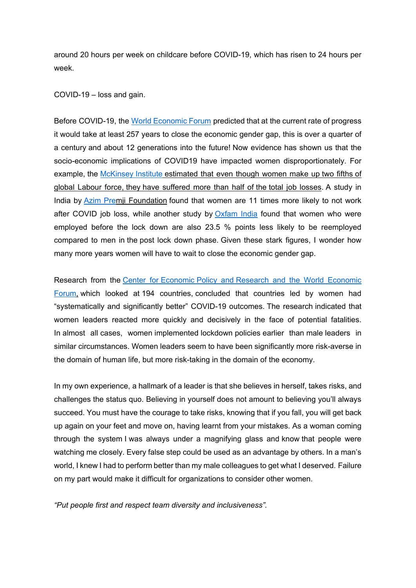around 20 hours per week on childcare before COVID-19, which has risen to 24 hours per week.

COVID-19 – loss and gain.

Before COVID-19, the [World Economic Forum](https://www.weforum.org/reports/gender-gap-2020-report-100-years-pay-equality) predicted that at the current rate of progress it would take at least 257 years to close the economic gender gap, this is over a quarter of a century and about 12 generations into the future! Now evidence has shown us that the socio-economic implications of COVID19 have impacted women disproportionately. For example, the [McKinsey](https://www.mckinsey.com/featured-insights/future-of-work/covid-19-and-gender-equality-countering-the-regressive-effects) Institute estimated that even though women make up two fifths of global Labour force, they have suffered more than half of the total job losses. A study in India by [Azim Prem](https://cse.azimpremjiuniversity.edu.in/publications/down-and-out-the-gendered-impact-of-the-covid-19-pandemic-on-indias-labour-market/)ji Foundation found that women are 11 times more likely to not work after COVID job loss, while another study by [Oxfam India](https://www.oxfamindia.org/knowledgehub/workingpaper/inequality-virus-global-report-2021) found that women who were employed before the lock down are also 23.5 % points less likely to be reemployed compared to men in the post lock down phase. Given these stark figures, I wonder how many more years women will have to wait to close the economic gender gap.

Research from the Center for Economic Policy and [Research and the World Economic](https://www.theguardian.com/world/2020/aug/18/female-led-countries-handled-coronavirus-better-study-jacinda-ardern-angela-merkel)  [Forum,](https://www.theguardian.com/world/2020/aug/18/female-led-countries-handled-coronavirus-better-study-jacinda-ardern-angela-merkel) which looked at 194 countries, concluded that countries led by women had "systematically and significantly better" COVID-19 outcomes. The research indicated that women leaders reacted more quickly and decisively in the face of potential fatalities. In almost all cases, women implemented lockdown policies earlier than male leaders in similar circumstances. Women leaders seem to have been significantly more risk-averse in the domain of human life, but more risk-taking in the domain of the economy.

In my own experience, a hallmark of a leader is that she believes in herself, takes risks, and challenges the status quo. Believing in yourself does not amount to believing you'll always succeed. You must have the courage to take risks, knowing that if you fall, you will get back up again on your feet and move on, having learnt from your mistakes. As a woman coming through the system I was always under a magnifying glass and know that people were watching me closely. Every false step could be used as an advantage by others. In a man's world, I knew I had to perform better than my male colleagues to get what I deserved. Failure on my part would make it difficult for organizations to consider other women.

*"Put people first and respect team diversity and inclusiveness".*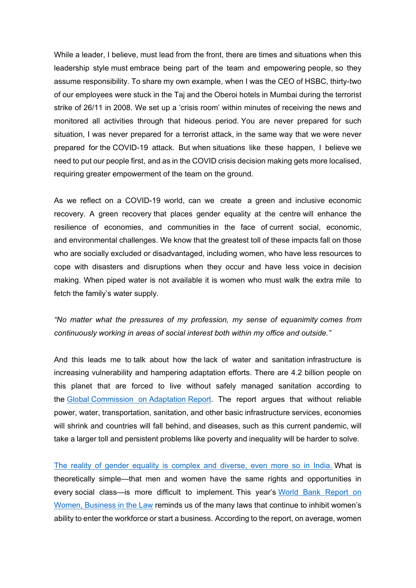While a leader, I believe, must lead from the front, there are times and situations when this leadership style must embrace being part of the team and empowering people, so they assume responsibility. To share my own example, when I was the CEO of HSBC, thirty-two of our employees were stuck in the Taj and the Oberoi hotels in Mumbai during the terrorist strike of 26/11 in 2008. We set up a 'crisis room' within minutes of receiving the news and monitored all activities through that hideous period. You are never prepared for such situation, I was never prepared for a terrorist attack, in the same way that we were never prepared for the COVID-19 attack. But when situations like these happen, I believe we need to put our people first, and as in the COVID crisis decision making gets more localised, requiring greater empowerment of the team on the ground.

As we reflect on a COVID-19 world, can we create a green and inclusive economic recovery. A green recovery that places gender equality at the centre will enhance the resilience of economies, and communities in the face of current social, economic, and environmental challenges. We know that the greatest toll of these impacts fall on those who are socially excluded or disadvantaged, including women, who have less resources to cope with disasters and disruptions when they occur and have less voice in decision making. When piped water is not available it is women who must walk the extra mile to fetch the family's water supply.

*"No matter what the pressures of my profession, my sense of equanimity comes from continuously working in areas of social interest both within my office and outside."*

And this leads me to talk about how the lack of water and sanitation infrastructure is increasing vulnerability and hampering adaptation efforts. There are 4.2 billion people on this planet that are forced to live without safely managed sanitation according to the Global [Commission on](https://gca.org/report-category/flagship-reports/) Adaptation Report. The report argues that without reliable power, water, transportation, sanitation, and other basic infrastructure services, economies will shrink and countries will fall behind, and diseases, such as this current pandemic, will take a larger toll and persistent problems like poverty and inequality will be harder to solve*.*

[The reality of gender equality is complex and diverse, even more so in India.](https://www.nytimes.com/2012/11/30/opinion/global/gender-equality.html%20/h) What is theoretically simple—that men and women have the same rights and opportunities in every social class—is more difficult to implement. This year's World Bank Report on [Women, Business in the Law](https://wbl.worldbank.org/en/wbl) reminds us of the many laws that continue to inhibit women's ability to enter the workforce or start a business. According to the report, on average, women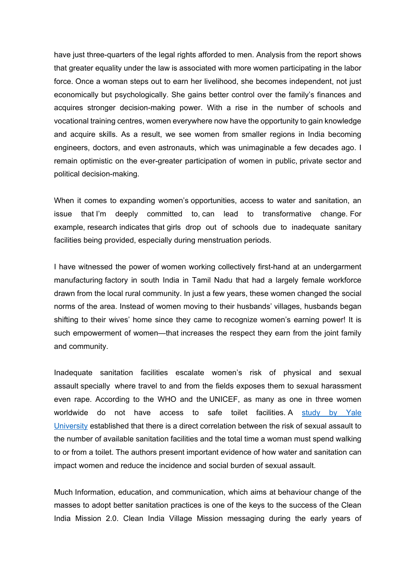have just three-quarters of the legal rights afforded to men. Analysis from the report shows that greater equality under the law is associated with more women participating in the labor force. Once a woman steps out to earn her livelihood, she becomes independent, not just economically but psychologically. She gains better control over the family's finances and acquires stronger decision-making power. With a rise in the number of schools and vocational training centres, women everywhere now have the opportunity to gain knowledge and acquire skills. As a result, we see women from smaller regions in India becoming engineers, doctors, and even astronauts, which was unimaginable a few decades ago. I remain optimistic on the ever-greater participation of women in public, private sector and political decision-making.

When it comes to expanding women's opportunities, access to water and sanitation, an issue that I'm deeply committed to, can lead to transformative change. For example, research indicates that girls drop out of schools due to inadequate sanitary facilities being provided, especially during menstruation periods.

I have witnessed the power of women working collectively first-hand at an undergarment manufacturing factory in south India in Tamil Nadu that had a largely female workforce drawn from the local rural community. In just a few years, these women changed the social norms of the area. Instead of women moving to their husbands' villages, husbands began shifting to their wives' home since they came to recognize women's earning power! It is such empowerment of women—that increases the respect they earn from the joint family and community.

Inadequate sanitation facilities escalate women's risk of physical and sexual assault specially where travel to and from the fields exposes them to sexual harassment even rape. According to the WHO and the UNICEF, as many as one in three women worldwide do not have access to safe toilet facilities. A study by Yale [University](http://journals.plos.org/plosone/article?id=10.1371/journal.pone.0122244) established that there is a direct correlation between the risk of sexual assault to the number of available sanitation facilities and the total time a woman must spend walking to or from a toilet. The authors present important evidence of how water and sanitation can impact women and reduce the incidence and social burden of sexual assault.

Much Information, education, and communication, which aims at behaviour change of the masses to adopt better sanitation practices is one of the keys to the success of the Clean India Mission 2.0. Clean India Village Mission messaging during the early years of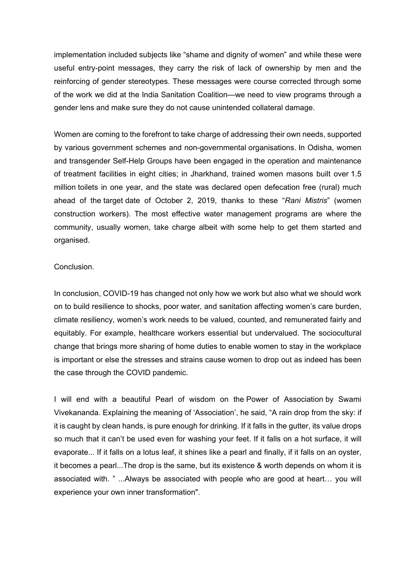implementation included subjects like "shame and dignity of women" and while these were useful entry-point messages, they carry the risk of lack of ownership by men and the reinforcing of gender stereotypes. These messages were course corrected through some of the work we did at the India Sanitation Coalition—we need to view programs through a gender lens and make sure they do not cause unintended collateral damage.

Women are coming to the forefront to take charge of addressing their own needs, supported by various government schemes and non-governmental organisations. In Odisha, women and transgender Self-Help Groups have been engaged in the operation and maintenance of treatment facilities in eight cities; in Jharkhand, trained women masons built over 1.5 million toilets in one year, and the state was declared open defecation free (rural) much ahead of the target date of October 2, 2019, thanks to these "*Rani Mistris*" (women construction workers). The most effective water management programs are where the community, usually women, take charge albeit with some help to get them started and organised.

## Conclusion.

In conclusion, COVID-19 has changed not only how we work but also what we should work on to build resilience to shocks, poor water, and sanitation affecting women's care burden, climate resiliency, women's work needs to be valued, counted, and remunerated fairly and equitably. For example, healthcare workers essential but undervalued. The sociocultural change that brings more sharing of home duties to enable women to stay in the workplace is important or else the stresses and strains cause women to drop out as indeed has been the case through the COVID pandemic.

I will end with a beautiful Pearl of wisdom on the Power of Association by Swami Vivekananda. Explaining the meaning of 'Association', he said, "A rain drop from the sky: if it is caught by clean hands, is pure enough for drinking. If it falls in the gutter, its value drops so much that it can't be used even for washing your feet. If it falls on a hot surface, it will evaporate... If it falls on a lotus leaf, it shines like a pearl and finally, if it falls on an oyster, it becomes a pearl...The drop is the same, but its existence & worth depends on whom it is associated with. " ...Always be associated with people who are good at heart… you will experience your own inner transformation".